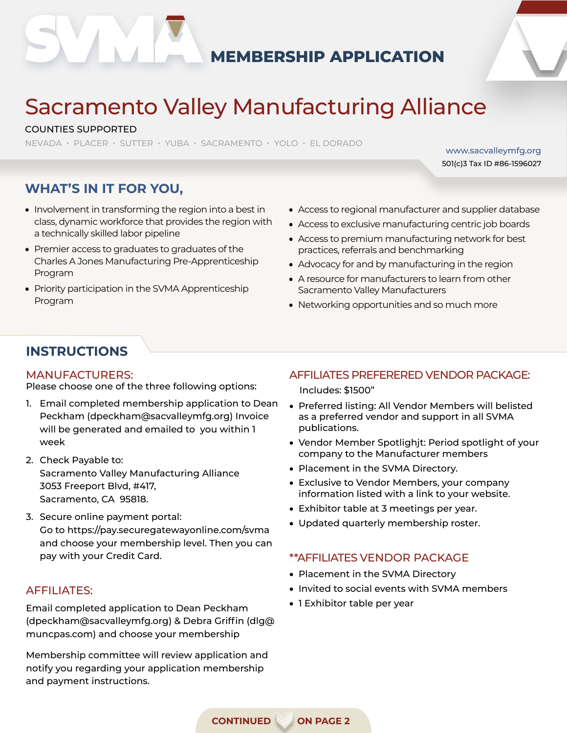

## **MEMBERSHIP APPLICATION**



www.sacvalleymfg.org 501(c)3 Tax ID #86-1596027

# Sacramento Valley Manufacturing Alliance

#### COUNTIES SUPPORTED

NEVADA • PLACER • SUTTER • YUBA • SACRAMENTO • YOLO • EL DORADO

# **WHAT'S IN IT FOR YOU,**

- Involvement in transforming the region into a best in class, dynamic workforce that provides the region with a technically skilled labor pipeline
- Premier access to graduates to graduates of the Charles A Jones Manufacturing Pre-Apprenticeship Program
- Priority participation in the SVMA Apprenticeship Program
- Access to regional manufacturer and supplier database
- Access to exclusive manufacturing centric job boards
- Access to premium manufacturing network for best practices, referrals and benchmarking
- Advocacy for and by manufacturing in the region
- A resource for manufacturers to learn from other Sacramento Valley Manufacturers
- Networking opportunities and so much more

### **INSTRUCTIONS**

#### MANUFACTURERS:

Please choose one of the three following options:

- 1. Email completed membership application to Dean Peckham (dpeckham@sacvalleymfg.org) Invoice will be generated and emailed to you within 1 week
- 2. Check Payable to: Sacramento Valley Manufacturing Alliance 3053 Freeport Blvd, #417, Sacramento, CA 95818.
- 3. Secure online payment portal: Go to https://pay.securegatewayonline.com/svma and choose your membership level. Then you can pay with your Credit Card.

#### AFFILIATES:

Email completed application to Dean Peckham (dpeckham@sacvalleymfg.org) & Debra Griffin (dlg@ muncpas.com) and choose your membership

Membership committee will review application and notify you regarding your application membership and payment instructions.

#### AFFILIATES PREFERERED VENDOR PACKAGE:

Includes: \$1500"

- Preferred listing: All Vendor Members will belisted as a preferred vendor and support in all SVMA publications.
- Vendor Member Spotlighjt: Period spotlight of your company to the Manufacturer members
- Placement in the SVMA Directory.
- Exclusive to Vendor Members, your company information listed with a link to your website.
- Exhibitor table at 3 meetings per year.
- Updated quarterly membership roster.

#### \*\*AFFILIATES VENDOR PACKAGE

- Placement in the SVMA Directory
- Invited to social events with SVMA members
- 1 Exhibitor table per year

**CONTINUED ON PAGE 2**